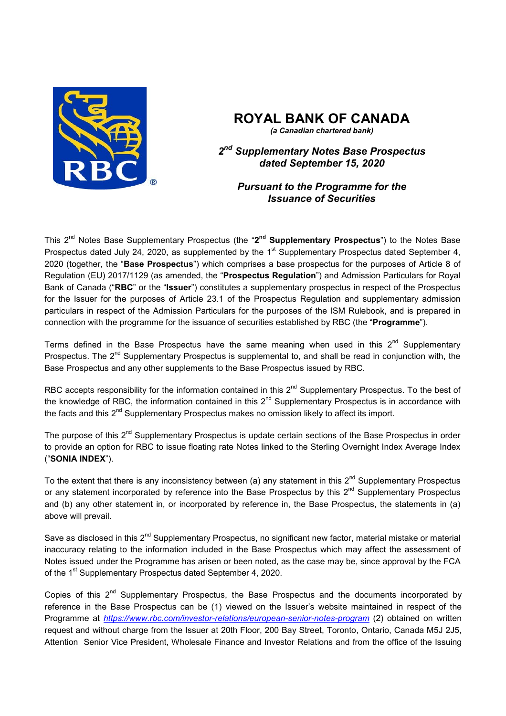

# **ROYAL BANK OF CANADA**

*(a Canadian chartered bank)*

*2nd Supplementary Notes Base Prospectus dated September 15, 2020* 

*Pursuant to the Programme for the Issuance of Securities* 

This 2nd Notes Base Supplementary Prospectus (the "**2nd Supplementary Prospectus**") to the Notes Base Prospectus dated July 24, 2020, as supplemented by the 1<sup>st</sup> Supplementary Prospectus dated September 4, 2020 (together, the "**Base Prospectus**") which comprises a base prospectus for the purposes of Article 8 of Regulation (EU) 2017/1129 (as amended, the "**Prospectus Regulation**") and Admission Particulars for Royal Bank of Canada ("**RBC**" or the "**Issuer**") constitutes a supplementary prospectus in respect of the Prospectus for the Issuer for the purposes of Article 23.1 of the Prospectus Regulation and supplementary admission particulars in respect of the Admission Particulars for the purposes of the ISM Rulebook, and is prepared in connection with the programme for the issuance of securities established by RBC (the "**Programme**").

Terms defined in the Base Prospectus have the same meaning when used in this  $2<sup>nd</sup>$  Supplementary Prospectus. The 2<sup>nd</sup> Supplementary Prospectus is supplemental to, and shall be read in conjunction with, the Base Prospectus and any other supplements to the Base Prospectus issued by RBC.

RBC accepts responsibility for the information contained in this  $2^{nd}$  Supplementary Prospectus. To the best of the knowledge of RBC, the information contained in this 2<sup>nd</sup> Supplementary Prospectus is in accordance with the facts and this  $2^{nd}$  Supplementary Prospectus makes no omission likely to affect its import.

The purpose of this 2<sup>nd</sup> Supplementary Prospectus is update certain sections of the Base Prospectus in order to provide an option for RBC to issue floating rate Notes linked to the Sterling Overnight Index Average Index ("**SONIA INDEX**").

To the extent that there is any inconsistency between (a) any statement in this  $2^{nd}$  Supplementary Prospectus or any statement incorporated by reference into the Base Prospectus by this  $2^{nd}$  Supplementary Prospectus and (b) any other statement in, or incorporated by reference in, the Base Prospectus, the statements in (a) above will prevail.

Save as disclosed in this 2<sup>nd</sup> Supplementary Prospectus, no significant new factor, material mistake or material inaccuracy relating to the information included in the Base Prospectus which may affect the assessment of Notes issued under the Programme has arisen or been noted, as the case may be, since approval by the FCA of the 1<sup>st</sup> Supplementary Prospectus dated September 4, 2020.

Copies of this  $2^{nd}$  Supplementary Prospectus, the Base Prospectus and the documents incorporated by reference in the Base Prospectus can be (1) viewed on the Issuer's website maintained in respect of the Programme at *https://www.rbc.com/investor-relations/european-senior-notes-program* (2) obtained on written request and without charge from the Issuer at 20th Floor, 200 Bay Street, Toronto, Ontario, Canada M5J 2J5, Attention Senior Vice President, Wholesale Finance and Investor Relations and from the office of the Issuing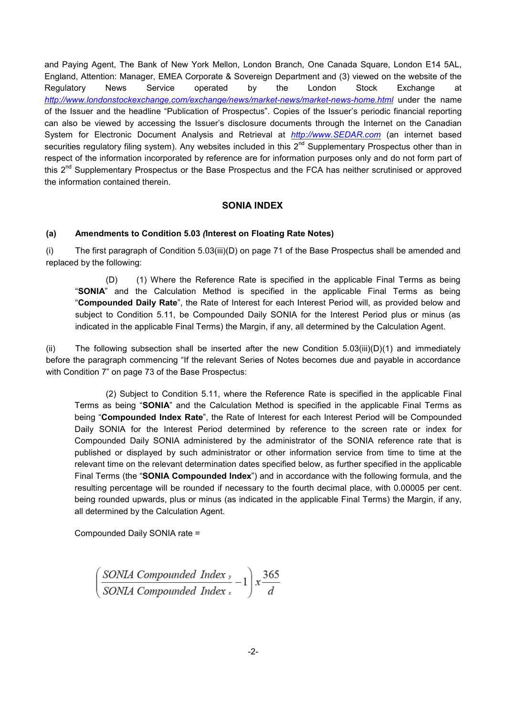and Paying Agent, The Bank of New York Mellon, London Branch, One Canada Square, London E14 5AL, England, Attention: Manager, EMEA Corporate & Sovereign Department and (3) viewed on the website of the Regulatory News Service operated by the London Stock Exchange at http://www.londonstockexchange.com/exchange/news/market-news/market-news-home.html under the name of the Issuer and the headline "Publication of Prospectus". Copies of the Issuer's periodic financial reporting can also be viewed by accessing the Issuer's disclosure documents through the Internet on the Canadian System for Electronic Document Analysis and Retrieval at *http://www.SEDAR.com* (an internet based securities regulatory filing system). Any websites included in this 2<sup>nd</sup> Supplementary Prospectus other than in respect of the information incorporated by reference are for information purposes only and do not form part of this  $2^{nd}$  Supplementary Prospectus or the Base Prospectus and the FCA has neither scrutinised or approved the information contained therein.

## **SONIA INDEX**

## **(a) Amendments to Condition 5.03** *(***Interest on Floating Rate Notes)**

(i) The first paragraph of Condition 5.03(iii)(D) on page 71 of the Base Prospectus shall be amended and replaced by the following:

 (D) (1) Where the Reference Rate is specified in the applicable Final Terms as being "**SONIA**" and the Calculation Method is specified in the applicable Final Terms as being "**Compounded Daily Rate**", the Rate of Interest for each Interest Period will, as provided below and subject to Condition 5.11, be Compounded Daily SONIA for the Interest Period plus or minus (as indicated in the applicable Final Terms) the Margin, if any, all determined by the Calculation Agent.

(ii) The following subsection shall be inserted after the new Condition 5.03(iii)(D)(1) and immediately before the paragraph commencing "If the relevant Series of Notes becomes due and payable in accordance with Condition 7" on page 73 of the Base Prospectus:

 (2) Subject to Condition 5.11, where the Reference Rate is specified in the applicable Final Terms as being "**SONIA**" and the Calculation Method is specified in the applicable Final Terms as being "**Compounded Index Rate**", the Rate of Interest for each Interest Period will be Compounded Daily SONIA for the Interest Period determined by reference to the screen rate or index for Compounded Daily SONIA administered by the administrator of the SONIA reference rate that is published or displayed by such administrator or other information service from time to time at the relevant time on the relevant determination dates specified below, as further specified in the applicable Final Terms (the "**SONIA Compounded Index**") and in accordance with the following formula, and the resulting percentage will be rounded if necessary to the fourth decimal place, with 0.00005 per cent. being rounded upwards, plus or minus (as indicated in the applicable Final Terms) the Margin, if any, all determined by the Calculation Agent.

Compounded Daily SONIA rate =

$$
\left[\frac{\text{SONIA}\text{ Compounded}\text{ Index}}{\text{SONIA}\text{ Compounded}\text{ Index}\,x} - 1\right] x \frac{365}{d}
$$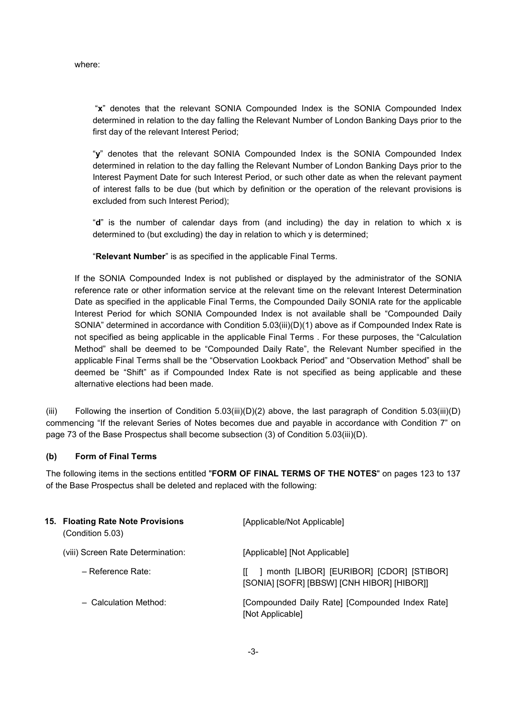where:

 "**x**" denotes that the relevant SONIA Compounded Index is the SONIA Compounded Index determined in relation to the day falling the Relevant Number of London Banking Days prior to the first day of the relevant Interest Period;

"**y**" denotes that the relevant SONIA Compounded Index is the SONIA Compounded Index determined in relation to the day falling the Relevant Number of London Banking Days prior to the Interest Payment Date for such Interest Period, or such other date as when the relevant payment of interest falls to be due (but which by definition or the operation of the relevant provisions is excluded from such Interest Period);

"**d**" is the number of calendar days from (and including) the day in relation to which x is determined to (but excluding) the day in relation to which y is determined;

"**Relevant Number**" is as specified in the applicable Final Terms.

If the SONIA Compounded Index is not published or displayed by the administrator of the SONIA reference rate or other information service at the relevant time on the relevant Interest Determination Date as specified in the applicable Final Terms, the Compounded Daily SONIA rate for the applicable Interest Period for which SONIA Compounded Index is not available shall be "Compounded Daily SONIA" determined in accordance with Condition 5.03(iii)(D)(1) above as if Compounded Index Rate is not specified as being applicable in the applicable Final Terms . For these purposes, the "Calculation Method" shall be deemed to be "Compounded Daily Rate", the Relevant Number specified in the applicable Final Terms shall be the "Observation Lookback Period" and "Observation Method" shall be deemed be "Shift" as if Compounded Index Rate is not specified as being applicable and these alternative elections had been made.

(iii) Following the insertion of Condition 5.03(iii)(D)(2) above, the last paragraph of Condition 5.03(iii)(D) commencing "If the relevant Series of Notes becomes due and payable in accordance with Condition 7" on page 73 of the Base Prospectus shall become subsection (3) of Condition 5.03(iii)(D).

## **(b) Form of Final Terms**

The following items in the sections entitled "**FORM OF FINAL TERMS OF THE NOTES**" on pages 123 to 137 of the Base Prospectus shall be deleted and replaced with the following:

| 15. Floating Rate Note Provisions<br>(Condition 5.03) | [Applicable/Not Applicable]                                                                 |
|-------------------------------------------------------|---------------------------------------------------------------------------------------------|
| (viii) Screen Rate Determination:                     | [Applicable] [Not Applicable]                                                               |
| – Reference Rate:                                     | month [LIBOR] [EURIBOR] [CDOR] [STIBOR]<br>Ш.<br>[SONIA] [SOFR] [BBSW] [CNH HIBOR] [HIBOR]] |
| - Calculation Method:                                 | [Compounded Daily Rate] [Compounded Index Rate]<br>[Not Applicable]                         |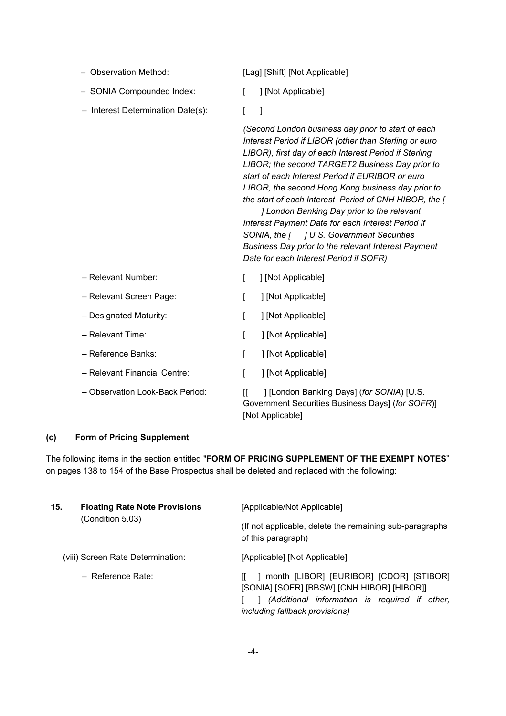- 
- SONIA Compounded Index: [ ] [Not Applicable]
- Interest Determination Date(s): [ ]

– Observation Method: [Lag] [Shift] [Not Applicable]

- 
- 

*(Second London business day prior to start of each Interest Period if LIBOR (other than Sterling or euro LIBOR), first day of each Interest Period if Sterling LIBOR; the second TARGET2 Business Day prior to start of each Interest Period if EURIBOR or euro LIBOR, the second Hong Kong business day prior to the start of each Interest Period of CNH HIBOR, the [*

 *] London Banking Day prior to the relevant Interest Payment Date for each Interest Period if SONIA, the [ ] U.S. Government Securities Business Day prior to the relevant Interest Payment Date for each Interest Period if SOFR)*

| - Relevant Number:              |   | [Not Applicable]                                                                              |
|---------------------------------|---|-----------------------------------------------------------------------------------------------|
| - Relevant Screen Page:         |   | [Not Applicable]                                                                              |
| - Designated Maturity:          |   | [Not Applicable]                                                                              |
| - Relevant Time:                |   | [Not Applicable]                                                                              |
| - Reference Banks:              |   | [Not Applicable]                                                                              |
| - Relevant Financial Centre:    |   | [Not Applicable]                                                                              |
| - Observation Look-Back Period: | Ш | ] [London Banking Days] (for SONIA) [U.S.<br>Government Securities Business Days] (for SOFR)] |

### **(c) Form of Pricing Supplement**

The following items in the section entitled "**FORM OF PRICING SUPPLEMENT OF THE EXEMPT NOTES**" on pages 138 to 154 of the Base Prospectus shall be deleted and replaced with the following:

[Not Applicable]

| 15. | <b>Floating Rate Note Provisions</b><br>(Condition 5.03) | [Applicable/Not Applicable]                                                                                                                                              |
|-----|----------------------------------------------------------|--------------------------------------------------------------------------------------------------------------------------------------------------------------------------|
|     |                                                          | (If not applicable, delete the remaining sub-paragraphs)<br>of this paragraph)                                                                                           |
|     | (viii) Screen Rate Determination:                        | [Applicable] [Not Applicable]                                                                                                                                            |
|     | - Reference Rate:                                        | month [LIBOR] [EURIBOR] [CDOR] [STIBOR]<br>[SONIA] [SOFR] [BBSW] [CNH HIBOR] [HIBOR]]<br>(Additional information is required if other,<br>including fallback provisions) |